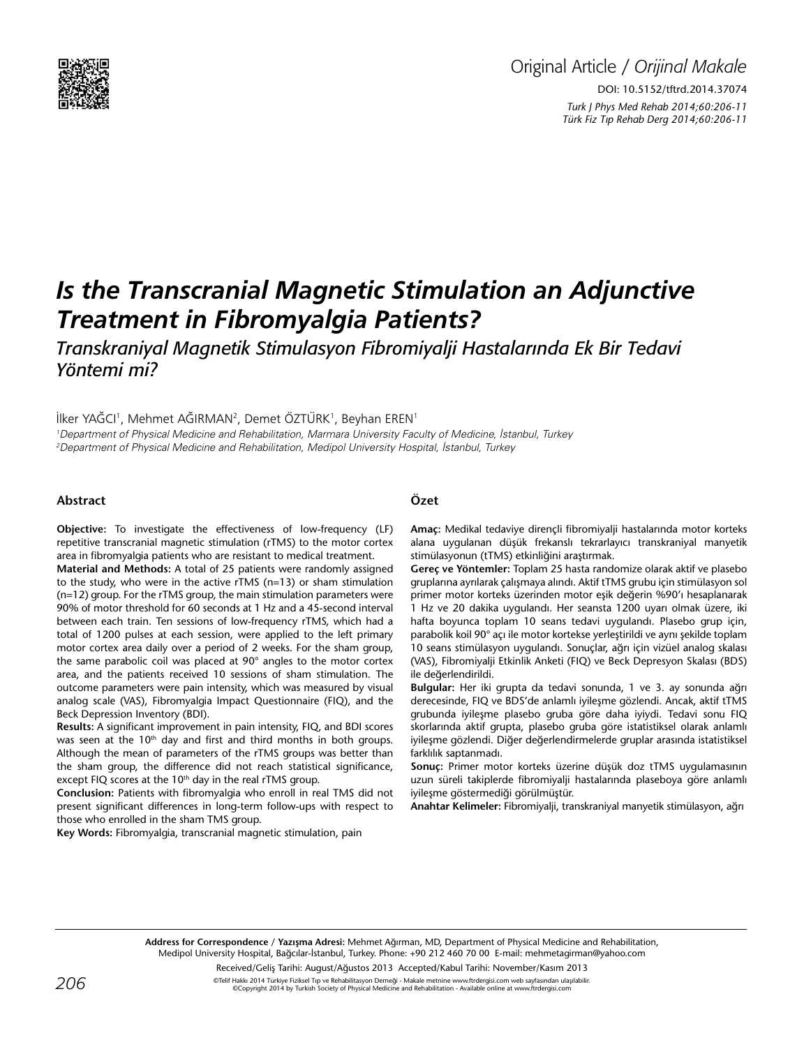

# Original Article / *Orijinal Makale* DOI: 10.5152/tftrd.2014.37074 *Turk J Phys Med Rehab 2014;60:206-11 Türk Fiz T›p Rehab Derg 2014;60:206-11*

# *Is the Transcranial Magnetic Stimulation an Adjunctive Treatment in Fibromyalgia Patients?*

*Transkraniyal Magnetik Stimulasyon Fibromiyalji Hastalarında Ek Bir Tedavi Yöntemi mi?*

İlker YAĞCI<sup>1</sup>, Mehmet AĞIRMAN<sup>2</sup>, Demet ÖZTÜRK<sup>1</sup>, Beyhan EREN<sup>1</sup> 1 Department of Physical Medicine and Rehabilitation, Marmara University Faculty of Medicine, İstanbul, Turkey 2 Department of Physical Medicine and Rehabilitation, Medipol University Hospital, İstanbul, Turkey

#### **Abstract**

**Objective:** To investigate the effectiveness of low-frequency (LF) repetitive transcranial magnetic stimulation (rTMS) to the motor cortex area in fibromyalgia patients who are resistant to medical treatment.

**Material and Methods:** A total of 25 patients were randomly assigned to the study, who were in the active rTMS (n=13) or sham stimulation (n=12) group. For the rTMS group, the main stimulation parameters were 90% of motor threshold for 60 seconds at 1 Hz and a 45-second interval between each train. Ten sessions of low-frequency rTMS, which had a total of 1200 pulses at each session, were applied to the left primary motor cortex area daily over a period of 2 weeks. For the sham group, the same parabolic coil was placed at 90° angles to the motor cortex area, and the patients received 10 sessions of sham stimulation. The outcome parameters were pain intensity, which was measured by visual analog scale (VAS), Fibromyalgia Impact Questionnaire (FIQ), and the Beck Depression Inventory (BDI).

**Results:** A significant improvement in pain intensity, FIQ, and BDI scores was seen at the 10<sup>th</sup> day and first and third months in both groups. Although the mean of parameters of the rTMS groups was better than the sham group, the difference did not reach statistical significance, except FIQ scores at the 10<sup>th</sup> day in the real rTMS group.

**Conclusion:** Patients with fibromyalgia who enroll in real TMS did not present significant differences in long-term follow-ups with respect to those who enrolled in the sham TMS group.

**Key Words:** Fibromyalgia, transcranial magnetic stimulation, pain

#### **Özet**

**Amaç:** Medikal tedaviye dirençli fibromiyalji hastalarında motor korteks alana uygulanan düşük frekanslı tekrarlayıcı transkraniyal manyetik stimülasyonun (tTMS) etkinliğini araştırmak.

**Gereç ve Yöntemler:** Toplam 25 hasta randomize olarak aktif ve plasebo gruplarına ayrılarak çalışmaya alındı. Aktif tTMS grubu için stimülasyon sol primer motor korteks üzerinden motor eşik değerin %90'ı hesaplanarak 1 Hz ve 20 dakika uygulandı. Her seansta 1200 uyarı olmak üzere, iki hafta boyunca toplam 10 seans tedavi uygulandı. Plasebo grup için, parabolik koil 90° açı ile motor kortekse yerleştirildi ve aynı şekilde toplam 10 seans stimülasyon uygulandı. Sonuçlar, ağrı için vizüel analog skalası (VAS), Fibromiyalji Etkinlik Anketi (FIQ) ve Beck Depresyon Skalası (BDS) ile değerlendirildi.

**Bulgular:** Her iki grupta da tedavi sonunda, 1 ve 3. ay sonunda ağrı derecesinde, FIQ ve BDS'de anlamlı iyileşme gözlendi. Ancak, aktif tTMS grubunda iyileşme plasebo gruba göre daha iyiydi. Tedavi sonu FIQ skorlarında aktif grupta, plasebo gruba göre istatistiksel olarak anlamlı iyileşme gözlendi. Diğer değerlendirmelerde gruplar arasında istatistiksel farklılık saptanmadı.

**Sonuç:** Primer motor korteks üzerine düşük doz tTMS uygulamasının uzun süreli takiplerde fibromiyalji hastalarında plaseboya göre anlamlı iyileşme göstermediği görülmüştür.

**Anahtar Kelimeler:** Fibromiyalji, transkraniyal manyetik stimülasyon, ağrı

**Address for Correspondence / Yazışma Adresi:** Mehmet Ağırman, MD, Department of Physical Medicine and Rehabilitation, Medipol University Hospital, Bağcılar-İstanbul, Turkey. Phone: +90 212 460 70 00 E-mail: mehmetagirman@yahoo.com

Received/Geliş Tarihi: August/Ağustos 2013 Accepted/Kabul Tarihi: November/Kasım 2013

 $206$  exercised Tip ve Rehabilitasyon Derneği - Makale metnine www.ftrdergisi.com web sayfasından ulaşılabilir $20$  exercised Tip ve Rehabilitasyon Derneği - Makale metnine www.ftrdergisi.com web sayfasından ulaşılabilir $\$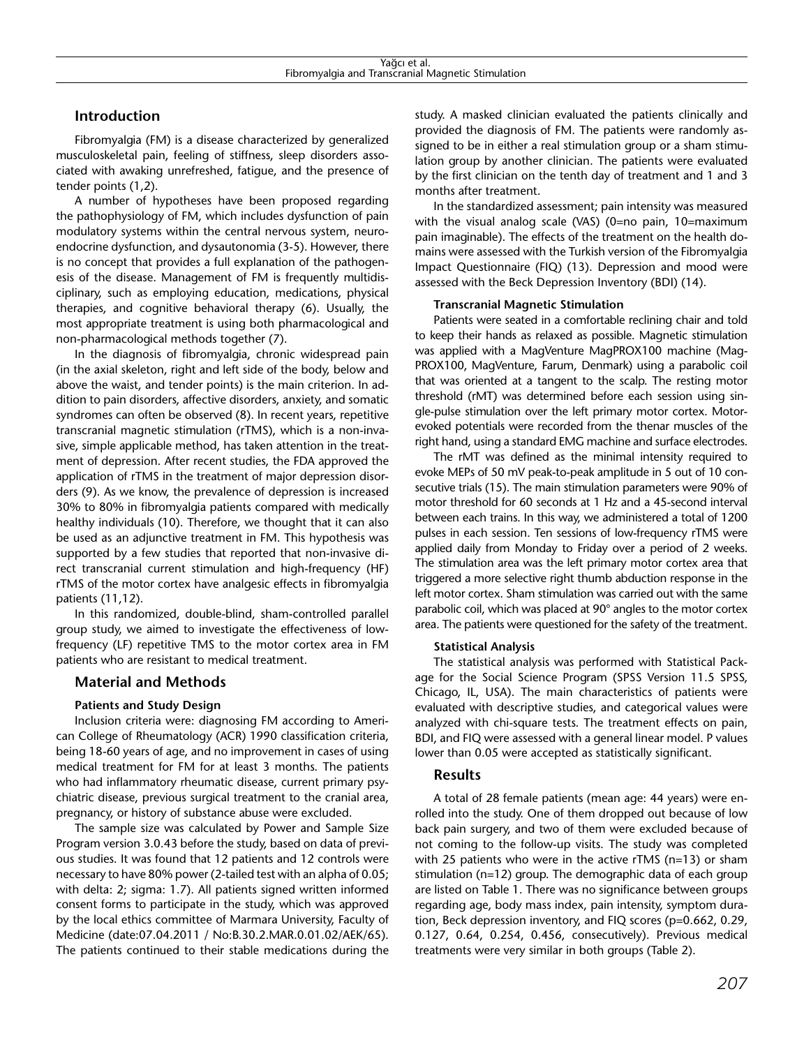## **Introduction**

Fibromyalgia (FM) is a disease characterized by generalized musculoskeletal pain, feeling of stiffness, sleep disorders associated with awaking unrefreshed, fatigue, and the presence of tender points (1,2).

A number of hypotheses have been proposed regarding the pathophysiology of FM, which includes dysfunction of pain modulatory systems within the central nervous system, neuroendocrine dysfunction, and dysautonomia (3-5). However, there is no concept that provides a full explanation of the pathogenesis of the disease. Management of FM is frequently multidisciplinary, such as employing education, medications, physical therapies, and cognitive behavioral therapy (6). Usually, the most appropriate treatment is using both pharmacological and non-pharmacological methods together (7).

In the diagnosis of fibromyalgia, chronic widespread pain (in the axial skeleton, right and left side of the body, below and above the waist, and tender points) is the main criterion. In addition to pain disorders, affective disorders, anxiety, and somatic syndromes can often be observed (8). In recent years, repetitive transcranial magnetic stimulation (rTMS), which is a non-invasive, simple applicable method, has taken attention in the treatment of depression. After recent studies, the FDA approved the application of rTMS in the treatment of major depression disorders (9). As we know, the prevalence of depression is increased 30% to 80% in fibromyalgia patients compared with medically healthy individuals (10). Therefore, we thought that it can also be used as an adjunctive treatment in FM. This hypothesis was supported by a few studies that reported that non-invasive direct transcranial current stimulation and high-frequency (HF) rTMS of the motor cortex have analgesic effects in fibromyalgia patients (11,12).

In this randomized, double-blind, sham-controlled parallel group study, we aimed to investigate the effectiveness of lowfrequency (LF) repetitive TMS to the motor cortex area in FM patients who are resistant to medical treatment.

## **Material and Methods**

## **Patients and Study Design**

Inclusion criteria were: diagnosing FM according to American College of Rheumatology (ACR) 1990 classification criteria, being 18-60 years of age, and no improvement in cases of using medical treatment for FM for at least 3 months. The patients who had inflammatory rheumatic disease, current primary psychiatric disease, previous surgical treatment to the cranial area, pregnancy, or history of substance abuse were excluded.

The sample size was calculated by Power and Sample Size Program version 3.0.43 before the study, based on data of previous studies. It was found that 12 patients and 12 controls were necessary to have 80% power (2-tailed test with an alpha of 0.05; with delta: 2; sigma: 1.7). All patients signed written informed consent forms to participate in the study, which was approved by the local ethics committee of Marmara University, Faculty of Medicine (date:07.04.2011 / No:B.30.2.MAR.0.01.02/AEK/65). The patients continued to their stable medications during the study. A masked clinician evaluated the patients clinically and provided the diagnosis of FM. The patients were randomly assigned to be in either a real stimulation group or a sham stimulation group by another clinician. The patients were evaluated by the first clinician on the tenth day of treatment and 1 and 3 months after treatment.

In the standardized assessment; pain intensity was measured with the visual analog scale (VAS) (0=no pain, 10=maximum pain imaginable). The effects of the treatment on the health domains were assessed with the Turkish version of the Fibromyalgia Impact Questionnaire (FIQ) (13). Depression and mood were assessed with the Beck Depression Inventory (BDI) (14).

#### **Transcranial Magnetic Stimulation**

Patients were seated in a comfortable reclining chair and told to keep their hands as relaxed as possible. Magnetic stimulation was applied with a MagVenture MagPROX100 machine (Mag-PROX100, MagVenture, Farum, Denmark) using a parabolic coil that was oriented at a tangent to the scalp. The resting motor threshold (rMT) was determined before each session using single-pulse stimulation over the left primary motor cortex. Motorevoked potentials were recorded from the thenar muscles of the right hand, using a standard EMG machine and surface electrodes.

The rMT was defined as the minimal intensity required to evoke MEPs of 50 mV peak-to-peak amplitude in 5 out of 10 consecutive trials (15). The main stimulation parameters were 90% of motor threshold for 60 seconds at 1 Hz and a 45-second interval between each trains. In this way, we administered a total of 1200 pulses in each session. Ten sessions of low-frequency rTMS were applied daily from Monday to Friday over a period of 2 weeks. The stimulation area was the left primary motor cortex area that triggered a more selective right thumb abduction response in the left motor cortex. Sham stimulation was carried out with the same parabolic coil, which was placed at 90° angles to the motor cortex area. The patients were questioned for the safety of the treatment.

#### **Statistical Analysis**

The statistical analysis was performed with Statistical Package for the Social Science Program (SPSS Version 11.5 SPSS, Chicago, IL, USA). The main characteristics of patients were evaluated with descriptive studies, and categorical values were analyzed with chi-square tests. The treatment effects on pain, BDI, and FIQ were assessed with a general linear model. P values lower than 0.05 were accepted as statistically significant.

## **Results**

A total of 28 female patients (mean age: 44 years) were enrolled into the study. One of them dropped out because of low back pain surgery, and two of them were excluded because of not coming to the follow-up visits. The study was completed with 25 patients who were in the active rTMS (n=13) or sham stimulation (n=12) group. The demographic data of each group are listed on Table 1. There was no significance between groups regarding age, body mass index, pain intensity, symptom duration, Beck depression inventory, and FIQ scores (p=0.662, 0.29, 0.127, 0.64, 0.254, 0.456, consecutively). Previous medical treatments were very similar in both groups (Table 2).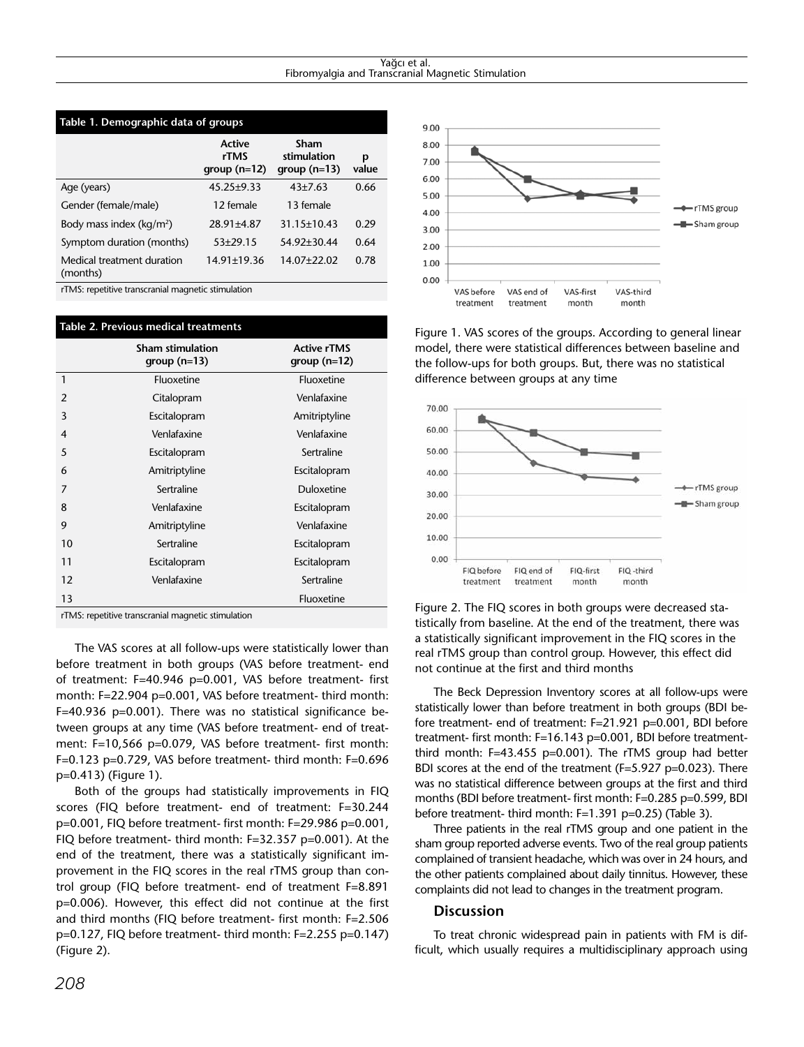#### Yağcı et al. Fibromyalgia and Transcranial Magnetic Stimulation

| Table 1. Demographic data of groups    |                                        |                                      |            |  |  |  |
|----------------------------------------|----------------------------------------|--------------------------------------|------------|--|--|--|
|                                        | <b>Active</b><br>rTMS<br>$group(n=12)$ | Sham<br>stimulation<br>$group(n=13)$ | p<br>value |  |  |  |
| Age (years)                            | $45.25 \pm 9.33$                       | $43 + 7.63$                          | 0.66       |  |  |  |
| Gender (female/male)                   | 12 female                              | 13 female                            |            |  |  |  |
| Body mass index ( $kq/m^2$ )           | $28.91 \pm 4.87$                       | 31.15±10.43                          | 0.29       |  |  |  |
| Symptom duration (months)              | $53+29.15$                             | 54.92±30.44                          | 0.64       |  |  |  |
| Medical treatment duration<br>(months) | $14.91 \pm 19.36$                      | 14.07+22.02                          | 0.78       |  |  |  |
|                                        |                                        |                                      |            |  |  |  |

rTMS: repetitive transcranial magnetic stimulation

| Table 2. Previous medical treatments               |                                           |                                     |  |  |
|----------------------------------------------------|-------------------------------------------|-------------------------------------|--|--|
|                                                    | <b>Sham stimulation</b><br>group $(n=13)$ | <b>Active rTMS</b><br>$group(n=12)$ |  |  |
| 1                                                  | Fluoxetine                                | Fluoxetine                          |  |  |
| $\overline{2}$                                     | Venlafaxine<br>Citalopram                 |                                     |  |  |
| 3                                                  | Escitalopram                              | Amitriptyline                       |  |  |
| 4                                                  | Venlafaxine                               | Venlafaxine                         |  |  |
| 5                                                  | Escitalopram                              | Sertraline                          |  |  |
| 6                                                  | Amitriptyline                             | Escitalopram                        |  |  |
| 7                                                  | Sertraline                                | <b>Duloxetine</b>                   |  |  |
| 8                                                  | Venlafaxine                               | Escitalopram                        |  |  |
| 9                                                  | Amitriptyline                             | Venlafaxine                         |  |  |
| 10                                                 | Sertraline                                | Escitalopram                        |  |  |
| 11                                                 | Escitalopram                              | Escitalopram                        |  |  |
| 12                                                 | Venlafaxine<br>Sertraline                 |                                     |  |  |
| 13                                                 |                                           | Fluoxetine                          |  |  |
| rTMS: repetitive transcranial magnetic stimulation |                                           |                                     |  |  |

The VAS scores at all follow-ups were statistically lower than before treatment in both groups (VAS before treatment- end of treatment: F=40.946 p=0.001, VAS before treatment- first month: F=22.904 p=0.001, VAS before treatment- third month: F=40.936 p=0.001). There was no statistical significance between groups at any time (VAS before treatment- end of treatment: F=10,566 p=0.079, VAS before treatment- first month: F=0.123 p=0.729, VAS before treatment- third month: F=0.696 p=0.413) (Figure 1).

Both of the groups had statistically improvements in FIQ scores (FIQ before treatment- end of treatment: F=30.244 p=0.001, FIQ before treatment- first month: F=29.986 p=0.001, FIQ before treatment- third month: F=32.357 p=0.001). At the end of the treatment, there was a statistically significant improvement in the FIQ scores in the real rTMS group than control group (FIQ before treatment- end of treatment F=8.891 p=0.006). However, this effect did not continue at the first and third months (FIQ before treatment- first month: F=2.506 p=0.127, FIQ before treatment- third month: F=2.255 p=0.147) (Figure 2).



Figure 1. VAS scores of the groups. According to general linear model, there were statistical differences between baseline and the follow-ups for both groups. But, there was no statistical difference between groups at any time



Figure 2. The FIQ scores in both groups were decreased statistically from baseline. At the end of the treatment, there was a statistically significant improvement in the FIQ scores in the real rTMS group than control group. However, this effect did not continue at the first and third months

The Beck Depression Inventory scores at all follow-ups were statistically lower than before treatment in both groups (BDI before treatment- end of treatment: F=21.921 p=0.001, BDI before treatment- first month: F=16.143 p=0.001, BDI before treatmentthird month: F=43.455 p=0.001). The rTMS group had better BDI scores at the end of the treatment (F=5.927 p=0.023). There was no statistical difference between groups at the first and third months (BDI before treatment- first month: F=0.285 p=0.599, BDI before treatment- third month: F=1.391 p=0.25) (Table 3).

Three patients in the real rTMS group and one patient in the sham group reported adverse events. Two of the real group patients complained of transient headache, which was over in 24 hours, and the other patients complained about daily tinnitus. However, these complaints did not lead to changes in the treatment program.

#### **Discussion**

To treat chronic widespread pain in patients with FM is difficult, which usually requires a multidisciplinary approach using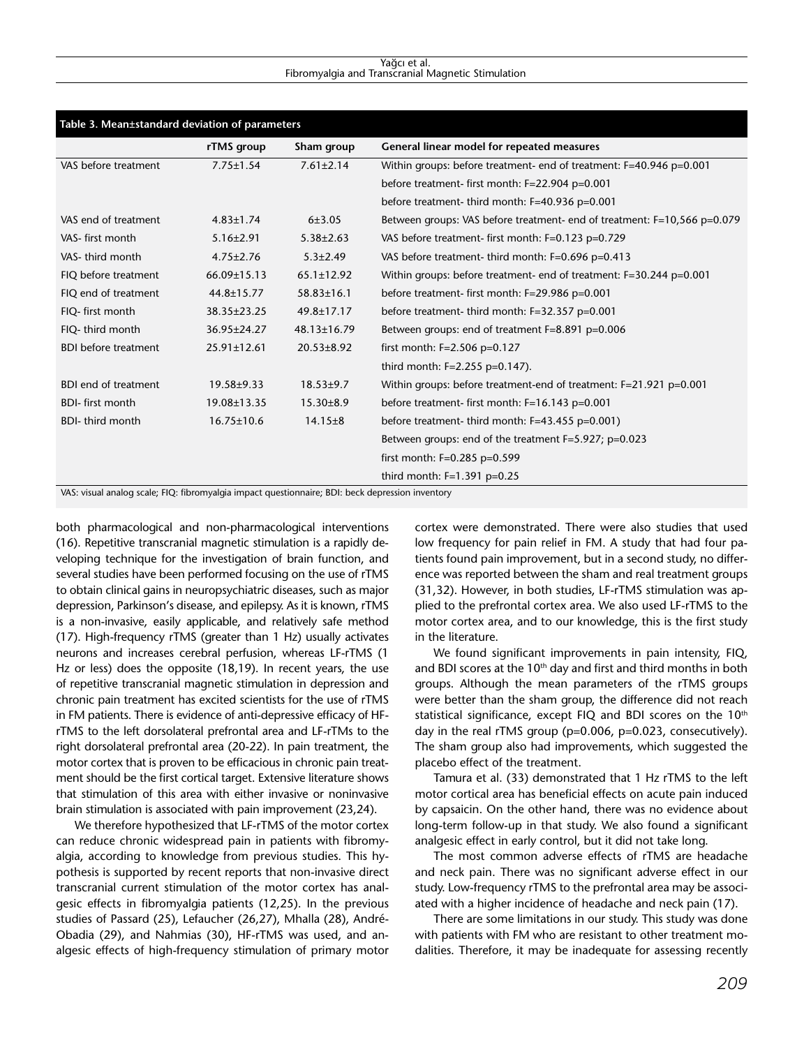#### Yağcı et al. Fibromyalgia and Transcranial Magnetic Stimulation

| Table 3. Mean±standard deviation of parameters |                   |                  |                                                                          |  |  |
|------------------------------------------------|-------------------|------------------|--------------------------------------------------------------------------|--|--|
|                                                | rTMS group        | Sham group       | General linear model for repeated measures                               |  |  |
| VAS before treatment                           | $7.75 \pm 1.54$   | $7.61 \pm 2.14$  | Within groups: before treatment- end of treatment: F=40.946 p=0.001      |  |  |
|                                                |                   |                  | before treatment- first month: F=22.904 p=0.001                          |  |  |
|                                                |                   |                  | before treatment- third month: F=40.936 p=0.001                          |  |  |
| VAS end of treatment                           | $4.83 \pm 1.74$   | 6±3.05           | Between groups: VAS before treatment- end of treatment: F=10,566 p=0.079 |  |  |
| VAS-first month                                | $5.16 \pm 2.91$   | $5.38 \pm 2.63$  | VAS before treatment- first month: F=0.123 p=0.729                       |  |  |
| VAS-third month                                | $4.75 \pm 2.76$   | $5.3 \pm 2.49$   | VAS before treatment- third month: F=0.696 p=0.413                       |  |  |
| FIQ before treatment                           | 66.09±15.13       | $65.1 \pm 12.92$ | Within groups: before treatment- end of treatment: F=30.244 p=0.001      |  |  |
| FIQ end of treatment                           | $44.8 \pm 15.77$  | 58.83±16.1       | before treatment- first month: F=29.986 p=0.001                          |  |  |
| FIQ- first month                               | 38.35±23.25       | 49.8±17.17       | before treatment- third month: F=32.357 p=0.001                          |  |  |
| FIQ-third month                                | 36.95±24.27       | 48.13±16.79      | Between groups: end of treatment F=8.891 p=0.006                         |  |  |
| <b>BDI before treatment</b>                    | $25.91 \pm 12.61$ | $20.53 \pm 8.92$ | first month: $F=2.506$ p=0.127                                           |  |  |
|                                                |                   |                  | third month: F=2.255 p=0.147).                                           |  |  |
| <b>BDI end of treatment</b>                    | $19.58 \pm 9.33$  | $18.53 \pm 9.7$  | Within groups: before treatment-end of treatment: F=21.921 p=0.001       |  |  |
| <b>BDI-first month</b>                         | 19.08±13.35       | $15.30 \pm 8.9$  | before treatment- first month: F=16.143 p=0.001                          |  |  |
| <b>BDI-</b> third month                        | $16.75 \pm 10.6$  | $14.15 \pm 8$    | before treatment- third month: F=43.455 p=0.001)                         |  |  |
|                                                |                   |                  | Between groups: end of the treatment $F=5.927$ ; $p=0.023$               |  |  |
|                                                |                   |                  | first month: $F=0.285$ p=0.599                                           |  |  |
|                                                |                   |                  | third month: F=1.391 p=0.25                                              |  |  |

VAS: visual analog scale; FIQ: fibromyalgia impact questionnaire; BDI: beck depression inventory

both pharmacological and non-pharmacological interventions (16). Repetitive transcranial magnetic stimulation is a rapidly developing technique for the investigation of brain function, and several studies have been performed focusing on the use of rTMS to obtain clinical gains in neuropsychiatric diseases, such as major depression, Parkinson's disease, and epilepsy. As it is known, rTMS is a non-invasive, easily applicable, and relatively safe method (17). High-frequency rTMS (greater than 1 Hz) usually activates neurons and increases cerebral perfusion, whereas LF-rTMS (1 Hz or less) does the opposite (18,19). In recent years, the use of repetitive transcranial magnetic stimulation in depression and chronic pain treatment has excited scientists for the use of rTMS in FM patients. There is evidence of anti-depressive efficacy of HFrTMS to the left dorsolateral prefrontal area and LF-rTMs to the right dorsolateral prefrontal area (20-22). In pain treatment, the motor cortex that is proven to be efficacious in chronic pain treatment should be the first cortical target. Extensive literature shows that stimulation of this area with either invasive or noninvasive brain stimulation is associated with pain improvement (23,24).

We therefore hypothesized that LF-rTMS of the motor cortex can reduce chronic widespread pain in patients with fibromyalgia, according to knowledge from previous studies. This hypothesis is supported by recent reports that non-invasive direct transcranial current stimulation of the motor cortex has analgesic effects in fibromyalgia patients (12,25). In the previous studies of Passard (25), Lefaucher (26,27), Mhalla (28), André-Obadia (29), and Nahmias (30), HF-rTMS was used, and analgesic effects of high-frequency stimulation of primary motor

cortex were demonstrated. There were also studies that used low frequency for pain relief in FM. A study that had four patients found pain improvement, but in a second study, no difference was reported between the sham and real treatment groups (31,32). However, in both studies, LF-rTMS stimulation was applied to the prefrontal cortex area. We also used LF-rTMS to the motor cortex area, and to our knowledge, this is the first study in the literature.

We found significant improvements in pain intensity, FIQ, and BDI scores at the  $10<sup>th</sup>$  day and first and third months in both groups. Although the mean parameters of the rTMS groups were better than the sham group, the difference did not reach statistical significance, except FIQ and BDI scores on the 10<sup>th</sup> day in the real rTMS group (p=0.006, p=0.023, consecutively). The sham group also had improvements, which suggested the placebo effect of the treatment.

Tamura et al. (33) demonstrated that 1 Hz rTMS to the left motor cortical area has beneficial effects on acute pain induced by capsaicin. On the other hand, there was no evidence about long-term follow-up in that study. We also found a significant analgesic effect in early control, but it did not take long.

The most common adverse effects of rTMS are headache and neck pain. There was no significant adverse effect in our study. Low-frequency rTMS to the prefrontal area may be associated with a higher incidence of headache and neck pain (17).

There are some limitations in our study. This study was done with patients with FM who are resistant to other treatment modalities. Therefore, it may be inadequate for assessing recently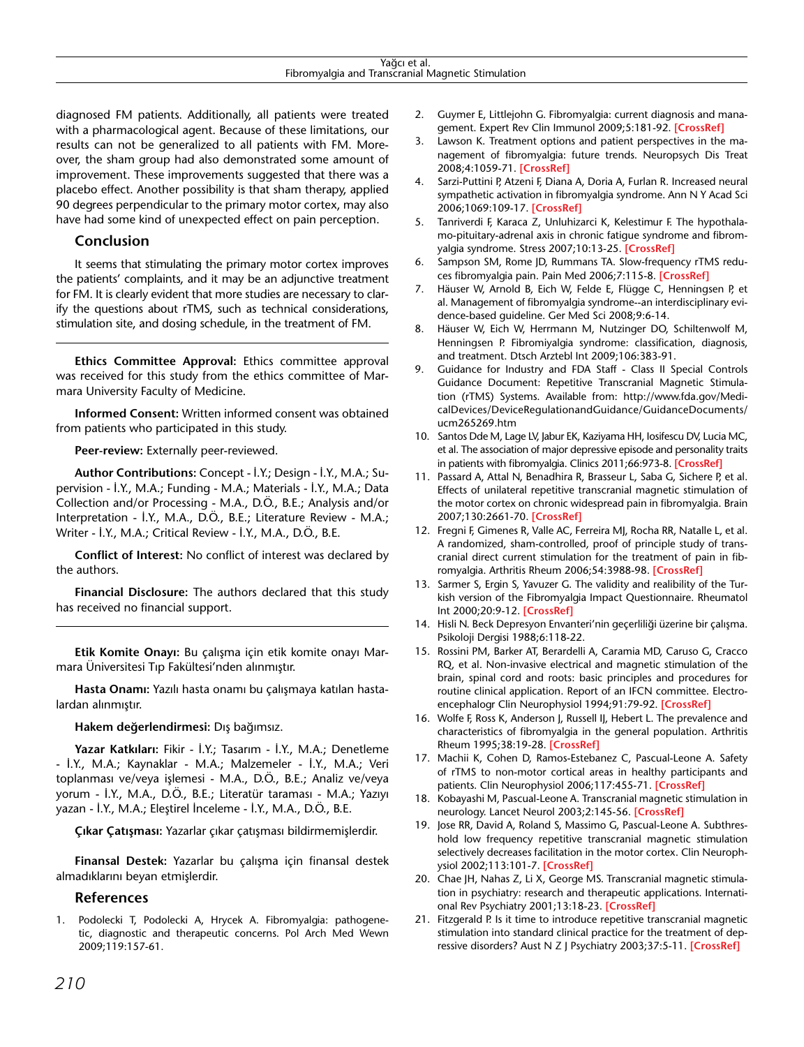diagnosed FM patients. Additionally, all patients were treated with a pharmacological agent. Because of these limitations, our results can not be generalized to all patients with FM. Moreover, the sham group had also demonstrated some amount of improvement. These improvements suggested that there was a placebo effect. Another possibility is that sham therapy, applied 90 degrees perpendicular to the primary motor cortex, may also have had some kind of unexpected effect on pain perception.

## **Conclusion**

It seems that stimulating the primary motor cortex improves the patients' complaints, and it may be an adjunctive treatment for FM. It is clearly evident that more studies are necessary to clarify the questions about rTMS, such as technical considerations, stimulation site, and dosing schedule, in the treatment of FM.

**Ethics Committee Approval:** Ethics committee approval was received for this study from the ethics committee of Marmara University Faculty of Medicine.

**Informed Consent:** Written informed consent was obtained from patients who participated in this study.

**Peer-review:** Externally peer-reviewed.

**Author Contributions:** Concept - İ.Y.; Design - İ.Y., M.A.; Supervision - İ.Y., M.A.; Funding - M.A.; Materials - İ.Y., M.A.; Data Collection and/or Processing - M.A., D.Ö., B.E.; Analysis and/or Interpretation - İ.Y., M.A., D.Ö., B.E.; Literature Review - M.A.; Writer - İ.Y., M.A.; Critical Review - İ.Y., M.A., D.Ö., B.E.

**Conflict of Interest:** No conflict of interest was declared by the authors.

**Financial Disclosure:** The authors declared that this study has received no financial support.

**Etik Komite Onayı:** Bu çalışma için etik komite onayı Marmara Üniversitesi Tıp Fakültesi'nden alınmıştır.

**Hasta Onamı:** Yazılı hasta onamı bu çalışmaya katılan hastalardan alınmıştır.

**Hakem değerlendirmesi:** Dış bağımsız.

**Yazar Katkıları:** Fikir - İ.Y.; Tasarım - İ.Y., M.A.; Denetleme - İ.Y., M.A.; Kaynaklar - M.A.; Malzemeler - İ.Y., M.A.; Veri toplanması ve/veya işlemesi - M.A., D.Ö., B.E.; Analiz ve/veya yorum - İ.Y., M.A., D.Ö., B.E.; Literatür taraması - M.A.; Yazıyı yazan - İ.Y., M.A.; Eleştirel İnceleme - İ.Y., M.A., D.Ö., B.E.

**Çıkar Çatışması:** Yazarlar çıkar çatışması bildirmemişlerdir.

**Finansal Destek:** Yazarlar bu çalışma için finansal destek almadıklarını beyan etmişlerdir.

## **References**

1. Podolecki T, Podolecki A, Hrycek A. Fibromyalgia: pathogenetic, diagnostic and therapeutic concerns. Pol Arch Med Wewn 2009;119:157-61.

- 2. Guymer E, Littlejohn G. Fibromyalgia: current diagnosis and management. Expert Rev Clin Immunol 2009;5:181-92. **[\[CrossRef\]](http://dx.doi.org/10.1586/1744666X.5.2.181)**
- 3. Lawson K. Treatment options and patient perspectives in the management of fibromyalgia: future trends. Neuropsych Dis Treat 2008;4:1059-71. **[\[CrossRef\]](http://dx.doi.org/10.2147/NDT.S3468)**
- 4. Sarzi-Puttini P, Atzeni F, Diana A, Doria A, Furlan R. Increased neural sympathetic activation in fibromyalgia syndrome. Ann N Y Acad Sci 2006;1069:109-17. **[\[CrossRef\]](http://dx.doi.org/10.1196/annals.1351.009)**
- 5. Tanriverdi F, Karaca Z, Unluhizarci K, Kelestimur F. The hypothalamo-pituitary-adrenal axis in chronic fatigue syndrome and fibromyalgia syndrome. Stress 2007;10:13-25. **[\[CrossRef\]](http://dx.doi.org/10.1080/10253890601130823)**
- 6. Sampson SM, Rome JD, Rummans TA. Slow-frequency rTMS reduces fibromyalgia pain. Pain Med 2006;7:115-8. **[\[CrossRef\]](http://dx.doi.org/10.1111/j.1526-4637.2006.00106.x)**
- 7. Häuser W, Arnold B, Eich W, Felde E, Flügge C, Henningsen P, et al. Management of fibromyalgia syndrome--an interdisciplinary evidence-based guideline. Ger Med Sci 2008;9:6-14.
- 8. Häuser W, Eich W, Herrmann M, Nutzinger DO, Schiltenwolf M, Henningsen P. Fibromiyalgia syndrome: classification, diagnosis, and treatment. Dtsch Arztebl Int 2009;106:383-91.
- 9. Guidance for Industry and FDA Staff Class II Special Controls Guidance Document: Repetitive Transcranial Magnetic Stimulation (rTMS) Systems. Available from: http://www.fda.gov/MedicalDevices/DeviceRegulationandGuidance/GuidanceDocuments/ ucm265269.htm
- 10. Santos Dde M, Lage LV, Jabur EK, Kaziyama HH, Iosifescu DV, Lucia MC, et al. The association of major depressive episode and personality traits in patients with fibromyalgia. Clinics 2011;66:973-8. **[\[CrossRef\]](http://dx.doi.org/10.1590/S1807-59322011000600009)**
- 11. Passard A, Attal N, Benadhira R, Brasseur L, Saba G, Sichere P, et al. Effects of unilateral repetitive transcranial magnetic stimulation of the motor cortex on chronic widespread pain in fibromyalgia. Brain 2007;130:2661-70. **[\[CrossRef\]](http://dx.doi.org/10.1093/brain/awm189)**
- 12. Fregni F, Gimenes R, Valle AC, Ferreira MJ, Rocha RR, Natalle L, et al. A randomized, sham-controlled, proof of principle study of transcranial direct current stimulation for the treatment of pain in fibromyalgia. Arthritis Rheum 2006;54:3988-98. **[\[CrossRef\]](http://dx.doi.org/10.1002/art.22195)**
- 13. Sarmer S, Ergin S, Yavuzer G. The validity and realibility of the Turkish version of the Fibromyalgia Impact Questionnaire. Rheumatol Int 2000;20:9-12. **[\[CrossRef\]](http://dx.doi.org/10.1007/s002960000077)**
- 14. Hisli N. Beck Depresyon Envanteri'nin geçerliliği üzerine bir çalışma. Psikoloji Dergisi 1988;6:118-22.
- 15. Rossini PM, Barker AT, Berardelli A, Caramia MD, Caruso G, Cracco RQ, et al. Non-invasive electrical and magnetic stimulation of the brain, spinal cord and roots: basic principles and procedures for routine clinical application. Report of an IFCN committee. Electroencephalogr Clin Neurophysiol 1994;91:79-92. **[\[CrossRef\]](http://dx.doi.org/10.1016/0013-4694%2894%2990029-9)**
- 16. Wolfe F, Ross K, Anderson J, Russell IJ, Hebert L. The prevalence and characteristics of fibromyalgia in the general population. Arthritis Rheum 1995;38:19-28. **[\[CrossRef\]](http://dx.doi.org/10.1002/art.1780380104)**
- 17. Machii K, Cohen D, Ramos-Estebanez C, Pascual-Leone A. Safety of rTMS to non-motor cortical areas in healthy participants and patients. Clin Neurophysiol 2006;117:455-71. **[\[CrossRef\]](http://dx.doi.org/10.1016/j.clinph.2005.10.014)**
- 18. Kobayashi M, Pascual-Leone A. Transcranial magnetic stimulation in neurology. Lancet Neurol 2003;2:145-56. **[\[CrossRef\]](http://dx.doi.org/10.1016/S1474-4422%2803%2900321-1)**
- 19. Jose RR, David A, Roland S, Massimo G, Pascual-Leone A. Subthreshold low frequency repetitive transcranial magnetic stimulation selectively decreases facilitation in the motor cortex. Clin Neurophysiol 2002;113:101-7. **[\[CrossRef\]](http://dx.doi.org/10.1016/S1388-2457%2801%2900693-9)**
- 20. Chae JH, Nahas Z, Li X, George MS. Transcranial magnetic stimulation in psychiatry: research and therapeutic applications. International Rev Psychiatry 2001;13:18-23. **[\[CrossRef\]](http://dx.doi.org/10.1080/09540260020024150)**
- 21. Fitzgerald P. Is it time to introduce repetitive transcranial magnetic stimulation into standard clinical practice for the treatment of depressive disorders? Aust N Z J Psychiatry 2003;37:5-11. **[\[CrossRef\]](http://dx.doi.org/10.1046/j.1440-1614.2003.01115.x)**